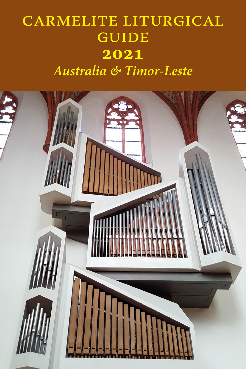# carmelite liturgical **GUIDE 2021** *Australia & Timor-Leste*

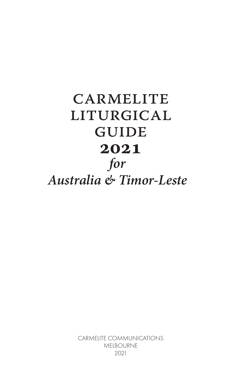# **CARMELITE** liturgical **GUIDE 2021** *for Australia & Timor-Leste*

CARMELITE COMMUNICATIONS MELBOURNE 2021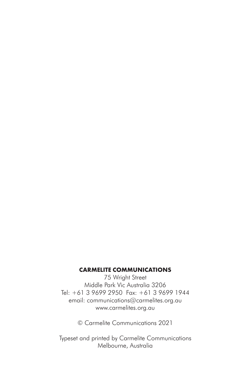#### **CARMELITE COMMUNICATIONS**

75 Wright Street Middle Park Vic Australia 3206 Tel: +61 3 9699 2950 Fax: +61 3 9699 1944 email: communications@carmelites.org.au www.carmelites.org.au

© Carmelite Communications 2021

Typeset and printed by Carmelite Communications Melbourne, Australia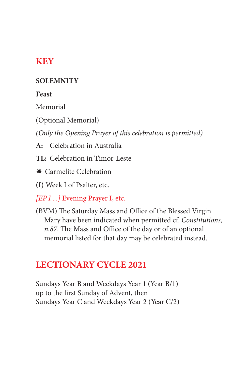## **KEY**

#### **SOLEMNITY**

#### **Feast**

Memorial

(Optional Memorial)

*(Only the Opening Prayer of this celebration is permitted)*

**A:** Celebration in Australia

**TL:** Celebration in Timor-Leste

 $★$  Carmelite Celebration

**(I)** Week I of Psalter, etc.

*[EP I ...]* Evening Prayer I, etc.

(BVM) The Saturday Mass and Office of the Blessed Virgin Mary have been indicated when permitted cf. *Constitutions, n.87*. The Mass and Office of the day or of an optional memorial listed for that day may be celebrated instead.

## **LECTIONARY CYCLE 2021**

Sundays Year B and Weekdays Year 1 (Year B/1) up to the first Sunday of Advent, then Sundays Year C and Weekdays Year 2 (Year C/2)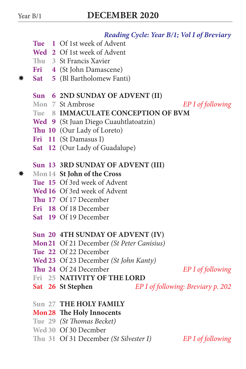#### *Reading Cycle: Year B/1; Vol I of Breviary*

- **Tue 1** Of 1st week of Advent
- **Wed 2** Of 1st week of Advent
- **Thu 3** St Francis Xavier
- **Fri 4** (St John Damascene)
- **Sat 5** (Bl Bartholomew Fanti)

#### **Sun 6 2ND SUNDAY OF ADVENT (II)**

**Mon 7** St Ambrose *EP I of following*

- **Tue 8 IMMACULATE CONCEPTION OF BVM**
- **Wed 9** (St Juan Diego Cuauhtlatoatzin)
- **Thu 10** (Our Lady of Loreto)
- **Fri 11** (St Damasus I)
- **Sat 12** (Our Lady of Guadalupe)

#### **Sun 13 3RD SUNDAY OF ADVENT (III)**

- **Mon14 St John of the Cross**
	- **Tue 15** Of 3rd week of Advent
	- **Wed 16** Of 3rd week of Advent
	- **Thu 17** Of 17 December
	- **Fri 18** Of 18 December
	- **Sat 19** Of 19 December

#### **Sun 20 4TH SUNDAY OF ADVENT (IV)**

- **Mon21** Of 21 December *(St Peter Canisius)*
- **Tue 22** Of 22 December
- **Wed 23** Of 23 December *(St John Kanty)*
- **Thu 24** Of 24 December *EP I of following*
- **Fri 25 NATIVITY OF THE LORD**
- **Sat 26 St Stephen** *EP I of following: Breviary p. 202*
- **Sun 27 THE HOLY FAMILY**

#### **Mon28 The Holy Innocents**

- **Tue 29** *(St Thomas Becket)*
- **Wed 30** Of 30 Decmber
- **Thu 31** Of 31 December *(St Silvester I) EP I of following*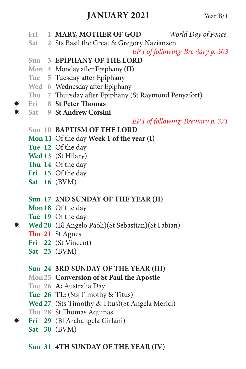- **Fri 1 MARY, MOTHER OF GOD** *World Day of Peace* **Sat 2** Sts Basil the Great & Gregory Nazianzen *EP I of following: Breviary p. 303* **Sun 3 EPIPHANY OF THE LORD Mon 4** Monday after Epiphany **(II) Tue 5** Tuesday after Epiphany **Wed 6** Wednesday after Epiphany **Thu 7** Thursday after Epiphany (St Raymond Penyafort) **Fri 8 St Peter Thomas Sat 9 St Andrew Corsini** *EP I of following: Breviary p. 371* **Sun 10 BAPTISM OF THE LORD Mon 11** Of the day **Week 1 of the year (I) Tue 12** Of the day **Wed 13** (St Hilary) **Thu 14** Of the day **Fri 15** Of the day **Sat 16** (BVM) **Sun 17 2ND SUNDAY OF THE YEAR (II) Mon18** Of the day **Tue 19** Of the day **Wed 20** (Bl Angelo Paoli)(St Sebastian)(St Fabian) **Thu 21** St Agnes **Fri 22** (St Vincent) **Sat 23** (BVM) **Sun 24 3RD SUNDAY OF THE YEAR (III) Mon25 Conversion of St Paul the Apostle Tue 26 A:** Australia Day **Tue 26 TL:** (Sts Timothy & Titus) **Wed 27** (Sts Timothy & Titus)(St Angela Merici) **JANUARY 2021** Year B/1
	- **Thu 28** St Thomas Aquinas
- **Fri 29** (Bl Archangela Girlani)
	- **Sat 30** (BVM)

### **Sun 31 4TH SUNDAY OF THE YEAR (IV)**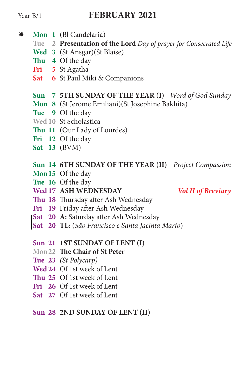- **Mon 1** (Bl Candelaria)
	- **Tue 2 Presentation of the Lord** *Day of prayer for Consecrated Life*
	- **Wed 3** (St Ansgar)(St Blaise)
	- **Thu 4** Of the day
	- **Fri 5** St Agatha
	- **Sat 6** St Paul Miki & Companions

### **Sun 7 5TH SUNDAY OF THE YEAR (I)** *Word of God Sunday*

- **Mon 8** (St Jerome Emiliani)(St Josephine Bakhita)
- **Tue 9** Of the day
- **Wed 10** St Scholastica
- **Thu 11** (Our Lady of Lourdes)
- **Fri 12** Of the day
- **Sat 13** (BVM)

#### **Sun 14 6TH SUNDAY OF THE YEAR (II)** *Project Compassion*

- **Mon15** Of the day
- **Tue 16** Of the day
- **Wed 17 ASH WEDNESDAY** *Vol II of Breviary*

- **Thu 18** Thursday after Ash Wednesday
- **Fri 19** Friday after Ash Wednesday
- **Sat 20 A:** Saturday after Ash Wednesday
- **Sat 20 TL:** (*São Francisco e Santa Jacinta Marto*)

#### **Sun 21 1ST SUNDAY OF LENT (I)**

- **Mon22 The Chair of St Peter**
- **Tue 23** *(St Polycarp)*
- **Wed 24** Of 1st week of Lent
- **Thu 25** Of 1st week of Lent
- **Fri 26** Of 1st week of Lent
- **Sat 27** Of 1st week of Lent

#### **Sun 28 2ND SUNDAY OF LENT (II)**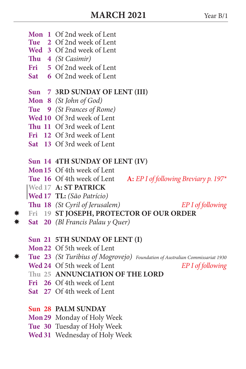- **Mon 1** Of 2nd week of Lent
- **Tue 2** Of 2nd week of Lent
- **Wed 3** Of 2nd week of Lent
- **Thu 4** *(St Casimir)*
- **Fri 5** Of 2nd week of Lent
- **Sat 6** Of 2nd week of Lent

### **Sun 7 3RD SUNDAY OF LENT (III)**

- **Mon 8** *(St John of God)*
- **Tue 9** *(St Frances of Rome)*
- **Wed 10** Of 3rd week of Lent
- **Thu 11** Of 3rd week of Lent
- **Fri 12** Of 3rd week of Lent
- **Sat 13** Of 3rd week of Lent

### **Sun 14 4TH SUNDAY OF LENT (IV)**

- **Mon15** Of 4th week of Lent
- **Tue 16** Of 4th week of Lent **A:** *EP I of following Breviary p. 197\**
- **Wed 17 A: ST PATRICK**
- **Wed 17 TL:** *(São Patrício)*
- **Thu 18** *(St Cyril of Jerusalem) EP I of following*
- **Fri 19 ST JOSEPH, PROTECTOR OF OUR ORDER**
- **Sat 20** *(Bl Francis Palau y Quer)*

#### **Sun 21 5TH SUNDAY OF LENT (I)**

- **Mon22** Of 5th week of Lent
- **Tue 23** *(St Turibius of Mogrovejo) Foundation of Australian Commissariat 1930*
	- **Wed 24** Of 5th week of Lent *EP I of following*
	- **Thu 25 ANNUNCIATION OF THE LORD**
	- **Fri 26** Of 4th week of Lent
	- **Sat 27** Of 4th week of Lent

#### **Sun 28 PALM SUNDAY**

- **Mon29** Monday of Holy Week
- **Tue 30** Tuesday of Holy Week
- **Wed 31** Wednesday of Holy Week
- -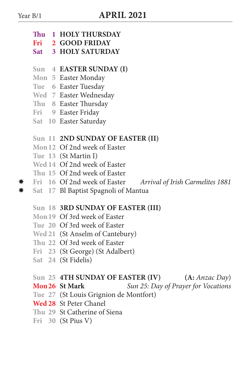- **Thu 1 HOLY THURSDAY**
- **Fri 2 GOOD FRIDAY**
- **Sat 3 HOLY SATURDAY**
- **Sun 4 EASTER SUNDAY (I)**
- **Mon 5** Easter Monday
- **Tue 6** Easter Tuesday
- **Wed 7** Easter Wednesday
- **Thu 8** Easter Thursday
- **Fri 9** Easter Friday
- **Sat 10** Easter Saturday

#### **Sun 11 2ND SUNDAY OF EASTER (II)**

- **Mon12** Of 2nd week of Easter
- **Tue 13** (St Martin I)
- **Wed 14** Of 2nd week of Easter
- **Thu 15** Of 2nd week of Easter
- **Fri 16** Of 2nd week of Easter *Arrival of Irish Carmelites 1881*
- **Sat 17** Bl Baptist Spagnoli of Mantua

#### **Sun 18 3RD SUNDAY OF EASTER (III)**

- **Mon19** Of 3rd week of Easter
- **Tue 20** Of 3rd week of Easter
- **Wed 21** (St Anselm of Cantebury)
- **Thu 22** Of 3rd week of Easter
- **Fri 23** (St George) (St Adalbert)
- **Sat 24** (St Fidelis)

# **Sun 25 4TH SUNDAY OF EASTER (IV) (A:** *Anzac Day*)

**Mon26 St Mark** *Sun 25: Day of Prayer for Vocations*

- **Tue 27** (St Louis Grignion de Montfort)
- **Wed 28** St Peter Chanel
- **Thu 29** St Catherine of Siena
- **Fri 30** (St Pius V)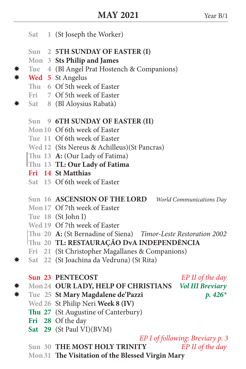- **Sat 1** (St Joseph the Worker)
- **Sun 2 5TH SUNDAY OF EASTER (I)**
- **Mon 3 Sts Philip and James**
- **Tue 4** (Bl Angel Prat Hostench & Companions)
- **Wed 5** St Angelus
	- **Thu 6** Of 5th week of Easter
	- **Fri 7** Of 5th week of Easter
- **Sat 8** (Bl Aloysius Rabatà)

#### **Sun 9 6TH SUNDAY OF EASTER (II)**

- **Mon10** Of 6th week of Easter
- **Tue 11** Of 6th week of Easter
- **Wed 12** (Sts Nereus & Achilleus)(St Pancras)
- **Thu 13 A:** (Our Lady of Fatima)
- **Thu 13 TL: Our Lady of Fatima**
- **Fri 14 St Matthias**
- **Sat 15** Of 6th week of Easter
- **Sun 16 ASCENSION OF THE LORD** *World Communications Day*
- **Mon17** Of 7th week of Easter
- **Tue 18** (St John I)
- **Wed 19** Of 7th week of Easter
- **Thu 20 A:** (St Bernadine of Siena) *Timor-Leste Restoration 2002*
- **Thu 20 TL: RESTAURAÇÃO DvA INDEPENDÊNCIA**
- **Fri 21** (St Christopher Magallanes & Companions)
- **Sat 22** (St Joachina da Vedruna) (St Rita)

## **Sun 23 PENTECOST** *EP II of the day*

- **Mon24 OUR LADY, HELP OF CHRISTIANS** *Vol III Breviary*
- **Tue 25 St Mary Magdalene de'Pazzi** *p. 426\**
	- **Wed 26** St Philip Neri **Week 8 (IV)**
	- **Thu 27** (St Augustine of Canterbury)
	- **Fri 28** Of the day
	- **Sat 29** (St Paul VI)(BVM)

#### *EP I of following: Breviary p. 3*

- **Sun 30 THE MOST HOLY TRINITY** *EP II of the day*
- **Mon31 The Visitation of the Blessed Virgin Mary**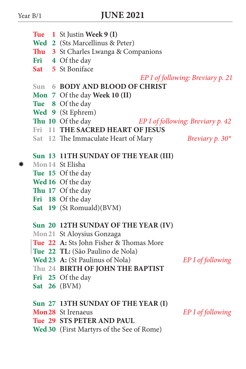|                                      |  |  | <b>Tue</b> 1 St Justin Week 9 (I)                                   |                                   |  |
|--------------------------------------|--|--|---------------------------------------------------------------------|-----------------------------------|--|
|                                      |  |  | Wed 2 (Sts Marcellinus & Peter)                                     |                                   |  |
|                                      |  |  | Thu 3 St Charles Lwanga & Companions                                |                                   |  |
|                                      |  |  |                                                                     |                                   |  |
|                                      |  |  | Fri 4 Of the day<br>Sat 5 St Boniface                               |                                   |  |
|                                      |  |  |                                                                     |                                   |  |
|                                      |  |  | EP I of following: Breviary p. 21<br>Sun 6 BODY AND BLOOD OF CHRIST |                                   |  |
|                                      |  |  |                                                                     |                                   |  |
|                                      |  |  | Mon 7 Of the day Week 10 (II)                                       |                                   |  |
|                                      |  |  | Tue 8 Of the day                                                    |                                   |  |
|                                      |  |  | Wed 9 (St Ephrem)                                                   |                                   |  |
|                                      |  |  | Thu 10 Of the day                                                   | EP I of following: Breviary p. 42 |  |
|                                      |  |  | Fri 11 THE SACRED HEART OF JESUS                                    |                                   |  |
|                                      |  |  | Sat 12 The Immaculate Heart of Mary                                 | <b>Breviary p.</b> 30*            |  |
| Sun 13 11TH SUNDAY OF THE YEAR (III) |  |  |                                                                     |                                   |  |
|                                      |  |  | Mon 14 St Elisha                                                    |                                   |  |
|                                      |  |  | Tue 15 Of the day                                                   |                                   |  |
|                                      |  |  | Wed 16 Of the day                                                   |                                   |  |
|                                      |  |  | Thu 17 Of the day                                                   |                                   |  |
|                                      |  |  | Fri 18 Of the day                                                   |                                   |  |
|                                      |  |  | Sat 19 (St Romuald)(BVM)                                            |                                   |  |
|                                      |  |  |                                                                     |                                   |  |
|                                      |  |  | Sun 20 12TH SUNDAY OF THE YEAR (IV)                                 |                                   |  |
|                                      |  |  | Mon 21 St Aloysius Gonzaga                                          |                                   |  |
|                                      |  |  | Tue 22 A: Sts John Fisher & Thomas More                             |                                   |  |
|                                      |  |  | Tue 22 TL: (São Paulino de Nola)                                    |                                   |  |
|                                      |  |  | Wed 23 A: (St Paulinus of Nola)                                     | EP I of following                 |  |
|                                      |  |  | Thu 24 BIRTH OF JOHN THE BAPTIST                                    |                                   |  |
|                                      |  |  | Fri 25 Of the day                                                   |                                   |  |
|                                      |  |  | Sat $26$ (BVM)                                                      |                                   |  |
|                                      |  |  | Sun 27 13TH SUNDAY OF THE YEAR (I)                                  |                                   |  |
|                                      |  |  | <b>Mon 28</b> St Irenaeus                                           | EP I of following                 |  |
|                                      |  |  | Tue 29 STS PETER AND PAUL                                           |                                   |  |
|                                      |  |  | Wed 30 (First Martyrs of the See of Rome)                           |                                   |  |
|                                      |  |  |                                                                     |                                   |  |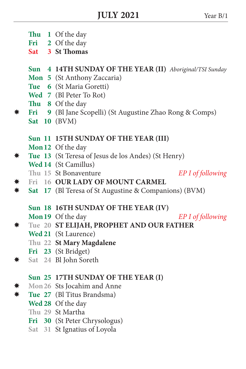- **Thu 1** Of the day
- **Fri 2** Of the day
- **Sat 3 St Thomas**

**Sun 4 14TH SUNDAY OF THE YEAR (II)** *Aboriginal/TSI Sunday*

- **Mon 5** (St Anthony Zaccaria)
- **Tue 6** (St Maria Goretti)
- **Wed 7** (Bl Peter To Rot)
- **Thu 8** Of the day
- **Fri 9** (Bl Jane Scopelli) (St Augustine Zhao Rong & Comps)
	- **Sat 10** (BVM)
	- **Sun 11 15TH SUNDAY OF THE YEAR (III)**
	- **Mon12** Of the day
- **Tue 13** (St Teresa of Jesus de los Andes) (St Henry)
	- **Wed 14** (St Camillus)
	- **Thu 15** St Bonaventure *EP I of following*
- **Fri 16 OUR LADY OF MOUNT CARMEL**
- **Sat 17** (Bl Teresa of St Augustine & Companions) (BVM)
	- **Sun 18 16TH SUNDAY OF THE YEAR (IV)**
	- **Mon19** Of the day *EP I of following*
- **Tue 20 ST ELIJAH, PROPHET AND OUR FATHER**
	- **Wed 21** (St Laurence)
	- **Thu 22 St Mary Magdalene**
	- **Fri 23** (St Bridget)
- **Sat 24** Bl John Soreth
	- **Sun 25 17TH SUNDAY OF THE YEAR (I)**
- **<del>** $★$ **</del>** Mon 26 Sts Jocahim and Anne<br> $★$  Tue 27 (BI Titus Brandsma)
- **Tue 27** (Bl Titus Brandsma)
	- **Wed 28** Of the day
	- **Thu 29** St Martha
	- **Fri 30** (St Peter Chrysologus)
	- **Sat 31** St Ignatius of Loyola
- 
-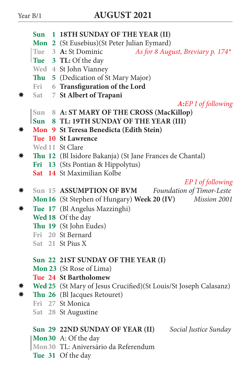|    | Sun        | 1 18TH SUNDAY OF THE YEAR (II)                                   |  |  |
|----|------------|------------------------------------------------------------------|--|--|
|    |            | Mon 2 (St Eusebius)(St Peter Julian Eymard)                      |  |  |
|    |            | Tue 3 A: St Dominic<br>As for 8 August, Breviary p. 174*         |  |  |
|    |            | Tue 3 TL: Of the day                                             |  |  |
|    |            | Wed 4 St John Vianney                                            |  |  |
|    |            | Thu 5 (Dedication of St Mary Major)                              |  |  |
|    |            | Fri 6 Transfiguration of the Lord                                |  |  |
|    | <b>Sat</b> | 7 St Albert of Trapani                                           |  |  |
|    |            | A:EP I of following                                              |  |  |
|    |            | Sun 8 A: ST MARY OF THE CROSS (MacKillop)                        |  |  |
|    |            | Sun 8 TL: 19TH SUNDAY OF THE YEAR (III)                          |  |  |
|    |            | Mon 9 St Teresa Benedicta (Edith Stein)                          |  |  |
|    |            | Tue 10 St Lawrence                                               |  |  |
|    |            | Wed 11 St Clare                                                  |  |  |
| ₩  |            | Thu 12 (Bl Isidore Bakanja) (St Jane Frances de Chantal)         |  |  |
|    |            | Fri 13 (Sts Pontian & Hippolytus)                                |  |  |
|    |            | Sat 14 St Maximilian Kolbe                                       |  |  |
|    |            | EP I of following                                                |  |  |
| ₩  |            | Foundation of Timor-Leste<br>Sun 15 ASSUMPTION OF BVM            |  |  |
|    |            | Mon 16 (St Stephen of Hungary) Week 20 (IV) Mission 2001         |  |  |
| ₩  |            | Tue 17 (Bl Angelus Mazzinghi)                                    |  |  |
|    |            | Wed 18 Of the day                                                |  |  |
|    |            | Thu 19 (St John Eudes)                                           |  |  |
|    |            | Fri 20 St Bernard                                                |  |  |
|    |            | Sat 21 St Pius X                                                 |  |  |
|    |            | Sun 22 21ST SUNDAY OF THE YEAR (I)                               |  |  |
|    |            | Mon 23 (St Rose of Lima)                                         |  |  |
|    |            | Tue 24 St Bartholomew                                            |  |  |
|    |            | Wed 25 (St Mary of Jesus Crucified)(St Louis/St Joseph Calasanz) |  |  |
| ₩. |            | Thu 26 (Bl Jacques Retouret)                                     |  |  |
|    |            | Fri 27 St Monica                                                 |  |  |
|    |            | Sat 28 St Augustine                                              |  |  |
|    |            |                                                                  |  |  |
|    |            | Sun 29 22ND SUNDAY OF YEAR (II)<br>Social Justice Sunday         |  |  |
|    |            | Mon 30 A: Of the day                                             |  |  |
|    |            | Mon 30 TL: Aniversário da Referendum                             |  |  |
|    |            | Tue 31 Of the day                                                |  |  |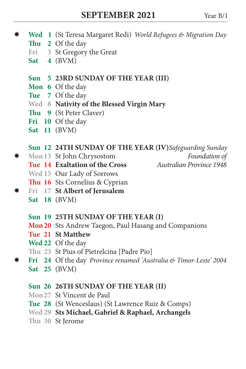- **Wed 1** (St Teresa Margaret Redi) *World Refugees & Migration Day*
	- **Thu 2** Of the day
	- **Fri 3** St Gregory the Great
	- **Sat 4** (BVM)
	- **Sun 5 23RD SUNDAY OF THE YEAR (III)**
	- **Mon 6** Of the day
	- **Tue 7** Of the day
	- **Wed 8 Nativity of the Blessed Virgin Mary**
	- **Thu 9** (St Peter Claver)
	- **Fri 10** Of the day
	- **Sat 11** (BVM)

# **Sun 12 24TH SUNDAY OF THE YEAR (IV)***Safeguarding Sunday*

- $\text{\#}$  Mon 13 St John Chrysostom
	- **Tue 14 Exaltation of the Cross** *Australian Province 1948*
	-
- 
- **Wed 15** Our Lady of Sorrows
- **Thu 16** Sts Cornelius & Cyprian
- **Fri 17 St Albert of Jerusalem Sat 18** (BVM)
	- **Sun 19 25TH SUNDAY OF THE YEAR (I)**
	- **Mon20** Sts Andrew Taegon, Paul Hasang and Companions
	- **Tue 21 St Matthew**
	- **Wed 22** Of the day
	- **Thu 23** St Pius of Pietrelcina [Padre Pio]
- **Fri 24** Of the day *Province renamed 'Australia & Timor-Leste' 2004* **Sat 25** (BVM)

#### **Sun 26 26TH SUNDAY OF THE YEAR (II)**

- **Mon27** St Vincent de Paul
- **Tue 28** (St Wenceslaus) (St Lawrence Ruiz & Comps)
- **Wed 29 Sts Michael, Gabriel & Raphael, Archangels**
- **Thu 30** St Jerome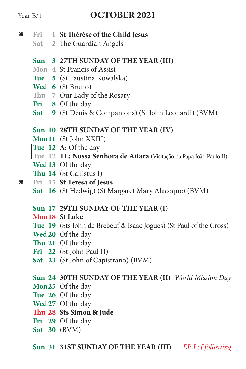- **Fri 1 St Thérèse of the Child Jesus**
	- **Sat 2** The Guardian Angels
	- **Sun 3 27TH SUNDAY OF THE YEAR (III)**
	- **Mon 4** St Francis of Assisi
	- **Tue 5** (St Faustina Kowalska)
	- **Wed 6** (St Bruno)
	- **Thu 7** Our Lady of the Rosary
	- **Fri 8** Of the day
	- **Sat 9** (St Denis & Companions) (St John Leonardi) (BVM)

#### **Sun 10 28TH SUNDAY OF THE YEAR (IV)**

- **Mon11** (St John XXIII)
- **Tue 12 A:** Of the day
- **Tue 12 TL: Nossa Senhora de Aitara** (Visitação da Papa João Paulo II)
- **Wed 13** Of the day
- **Thu 14** (St Callistus I)
- **Fri 15 St Teresa of Jesus**
	- **Sat 16** (St Hedwig) (St Margaret Mary Alacoque) (BVM)
	- **Sun 17 29TH SUNDAY OF THE YEAR (I)**
	- **Mon18 St Luke**
	- **Tue 19** (Sts John de Brébeuf & Isaac Jogues) (St Paul of the Cross)
	- **Wed 20** Of the day
	- **Thu 21** Of the day
	- **Fri 22** (St John Paul II)
	- **Sat 23** (St John of Capistrano) (BVM)

#### **Sun 24 30TH SUNDAY OF THE YEAR (II)** *World Mission Day*

- **Mon25** Of the day
- **Tue 26** Of the day
- **Wed 27** Of the day
- **Thu 28 Sts Simon & Jude**
- **Fri 29** Of the day
- **Sat 30** (BVM)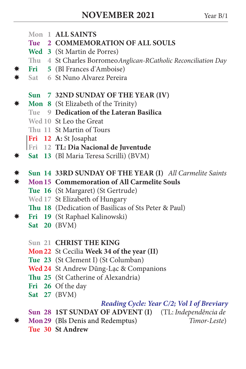- **Mon 1 ALL SAINTS**
- **Tue 2 COMMEMORATION OF ALL SOULS**
- **Wed 3** (St Martin de Porres)
- **Thu 4** St Charles Borromeo*Anglican-RCatholic Reconciliation Day*
- **Fri 5** (Bl Frances d'Amboise)
- **Sat 6** St Nuno Alvarez Pereira
	- **Sun 7 32ND SUNDAY OF THE YEAR (IV)**
- **Mon 8** (St Elizabeth of the Trinity)
	- **Tue 9 Dedication of the Lateran Basilica**
	- **Wed 10** St Leo the Great
	- **Thu 11** St Martin of Tours
	- **Fri 12 A:** St Josaphat
	- **Fri 12 TL: Dia Nacional de Juventude**
- **Sat 13** (Bl Maria Teresa Scrilli) (BVM)
- **Sun 14 33RD SUNDAY OF THE YEAR (I)** *All Carmelite Saints*
- **Mon15 Commemoration of All Carmelite Souls**
	- **Tue 16** (St Margaret) (St Gertrude)
	- **Wed 17** St Elizabeth of Hungary
	- **Thu 18** (Dedication of Basilicas of Sts Peter & Paul)
- **Fri 19** (St Raphael Kalinowski)
	- **Sat 20** (BVM)
	- **Sun 21 CHRIST THE KING**
	- **Mon22** St Cecilia **Week 34 of the year (II)**
	- **Tue 23** (St Clement I) (St Columban)
	- **Wed 24** St Andrew Dũng-Lạc & Companions
	- **Thu 25** (St Catherine of Alexandria)
	- **Fri 26** Of the day
	- **Sat 27** (BVM)

#### *Reading Cycle: Year C/2; Vol I of Breviary*

- **Sun 28 1ST SUNDAY OF ADVENT (I)** (TL: *Independência de*
- **Mon29** (Bls Denis and Redemptus) *Timor-Leste*)
	- **Tue 30 St Andrew**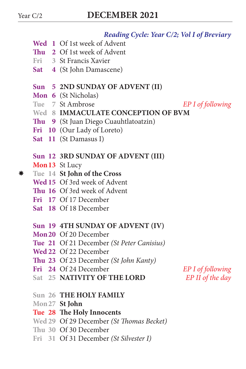#### *Reading Cycle: Year C/2; Vol I of Breviary*

- **Wed 1** Of 1st week of Advent
- **Thu 2** Of 1st week of Advent
- **Fri 3** St Francis Xavier
- **Sat 4** (St John Damascene)

#### **Sun 5 2ND SUNDAY OF ADVENT (II)**

- **Mon 6** (St Nicholas)<br>Tue 7 St Ambrose
- 
- **Wed 8 IMMACULATE CONCEPTION OF BVM**
- **Thu 9** (St Juan Diego Cuauhtlatoatzin)
- **Fri 10** (Our Lady of Loreto)
- **Sat 11** (St Damasus I)

#### **Sun 12 3RD SUNDAY OF ADVENT (III)**

#### **Mon13** St Lucy

- **Tue 14 St John of the Cross**
	- **Wed 15** Of 3rd week of Advent
	- **Thu 16** Of 3rd week of Advent
	- **Fri 17** Of 17 December
	- **Sat 18** Of 18 December

#### **Sun 19 4TH SUNDAY OF ADVENT (IV)**

- **Mon20** Of 20 December
- **Tue 21** Of 21 December *(St Peter Canisius)*
- **Wed 22** Of 22 December
- **Thu 23** Of 23 December *(St John Kanty)*
- **Fri 24** Of 24 December *EP I of following*
- **Sat 25 NATIVITY OF THE LORD** *EP II of the day*

- **Sun 26 THE HOLY FAMILY**
- **Mon27 St John**

#### **Tue 28 The Holy Innocents**

- **Wed 29** Of 29 December *(St Thomas Becket)*
- **Thu 30** Of 30 December
- **Fri 31** Of 31 December *(St Silvester I)*

*EP I of following*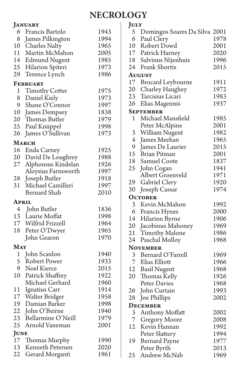## **NECROLOGY**

|              | <b>JANUARY</b>        |      |
|--------------|-----------------------|------|
| 6            | Francis Bartolo       | 1943 |
| 8            | James Pilkington      | 1994 |
| 10           | Charles Nalty         | 1965 |
| 11           | Martin McMahon        | 2005 |
| 14           | <b>Edmund Nugent</b>  | 1985 |
| 25           | Hilarion Spiteri      | 1973 |
| 29           | Terence Lynch         | 1986 |
| FEBRUARY     |                       |      |
| 1            | <b>Timothy Cotter</b> | 1975 |
| 8            | Daniel Kiely          | 1973 |
| 9            | Shane O'Connor        | 1997 |
| 10           | James Dempsey         | 1838 |
| 20           | Thomas Butler         | 1979 |
| 25           | Paul Knüppel          | 1998 |
| 26           | James O'Sullivan      | 1973 |
|              | March                 |      |
| 16           | Enda Carney           | 1925 |
| 20           | David De Loughrey     | 1988 |
| 27           | Alphonsus Kindelan    | 1926 |
|              | Aloysius Farnsworth   | 1997 |
| 28           | Joseph Butler         | 1918 |
| 31           | Michael Camilleri     | 1997 |
|              | Bernard Shah          | 2010 |
| April        |                       |      |
|              | 4 John Butler         | 1836 |
| 13           | Laurie Moffat         | 1998 |
| 17           | Wilfrid Frizzell      | 1964 |
| 18           | Peter O'Dwyer         | 1965 |
|              | John Gearon           | 1970 |
| May          |                       |      |
| $\mathbf{1}$ | John Scanlon          | 1940 |
| 5            | Robert Power          | 1933 |
| 9.           | Noel Kierce           | 2015 |
| 10           | Patrick Shaffrey      | 1922 |
|              | Michael Gerhard       | 1960 |
| 11           | Ignatius Carr         | 1914 |
| 17           | Walter Bridger        | 1958 |
| 19           | Damian Barker         | 1998 |
| 22           | John O'Beirne         | 1940 |
| 23           | Bellarmine O'Neill    | 1979 |
| 25           | Arnold Vaneman        | 2001 |
| JUNE         |                       |      |
| 17           | Thomas Murphy         | 1990 |
| 13           | Kenneth Petersen      | 2020 |
| 22           | Gerard Morganti       | 1961 |
|              |                       |      |

| <b>JULY</b>                             |                                                      |      |
|-----------------------------------------|------------------------------------------------------|------|
|                                         | 5 Domingos Soares Da Silva 2001<br>6 Paul Clery 1978 |      |
|                                         |                                                      | 1978 |
| 10                                      | Robert Dowd                                          | 2001 |
| 17                                      | Patrick Harney                                       | 2020 |
| 18                                      | Salvinus Nijenhuis                                   | 1996 |
| 24                                      | Frank Shortis                                        | 2015 |
|                                         | <b>AUGUST</b>                                        |      |
|                                         | 17 Brocard Leybourne                                 | 1911 |
|                                         | 20 Charley Haughey                                   | 1972 |
| 23                                      | Tarcisius Licari                                     | 1983 |
| 26                                      | Elias Magennis                                       | 1937 |
|                                         | <b>SEPTEMBER</b>                                     |      |
| 1                                       | Michael Mansfield                                    | 1985 |
|                                         | Peter McAlpine                                       | 2001 |
| 3                                       | William Nugent                                       | 1982 |
| $\overline{4}$                          | James Meehan                                         | 1965 |
| 9                                       | James De Laurier                                     | 2015 |
|                                         | 15 Brian Pitman                                      | 2001 |
| 18                                      | Samuel Coote                                         | 1837 |
| 25                                      | John Cogan                                           | 1941 |
|                                         | Albert Groenveld                                     | 1971 |
| 29                                      | Gabriel Clery                                        | 1920 |
| 30                                      | Joseph Cassar                                        | 1974 |
|                                         | <b>OCTOBER</b>                                       |      |
|                                         | 3 Kevin McMahon                                      | 1992 |
|                                         | 6 Francis Hynes                                      | 2000 |
| 14                                      | Hilarion Byrne                                       | 1906 |
| 20                                      | Jacobinus Mahoney                                    | 1969 |
| 21                                      | Timothy Malone                                       | 1986 |
| 24                                      | Paschal Molloy                                       | 1968 |
|                                         | <b>NOVEMBER</b>                                      |      |
| $\mathfrak{Z}$                          | Bernard O'Farrell                                    | 1969 |
|                                         | 7 Elias Elliott                                      | 1966 |
| $\begin{array}{c} 12 \\ 20 \end{array}$ | <b>Basil Nugent</b>                                  | 1968 |
|                                         | Thomas Kelly                                         | 1926 |
|                                         | Peter Davies                                         | 1968 |
| 26                                      | John Curtain                                         | 1993 |
| 28                                      | Joe Phillips                                         | 2002 |
|                                         | <b>DECEMBER</b>                                      |      |
|                                         | 3 Anthony Moffatt                                    | 2002 |
|                                         | 7 Gregory Moore                                      | 2008 |
| 12                                      | Kevin Hannan                                         | 1992 |
|                                         | Peter Slattery                                       | 1994 |
| 19                                      | <b>Bernard Payne</b>                                 | 1977 |
|                                         | Peter Byrth                                          | 2013 |
| 25                                      | Andrew McNab                                         | 1969 |